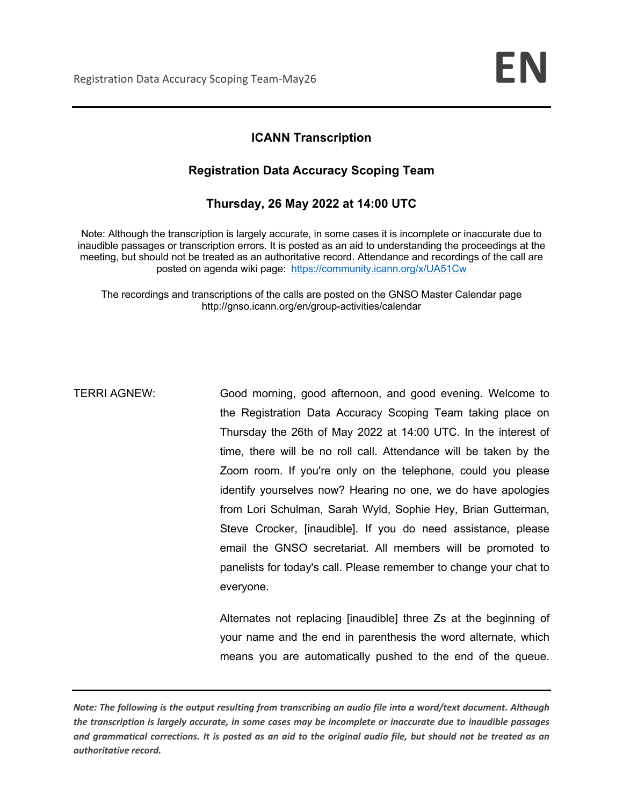## **ICANN Transcription**

## **Registration Data Accuracy Scoping Team**

## **Thursday, 26 May 2022 at 14:00 UTC**

Note: Although the transcription is largely accurate, in some cases it is incomplete or inaccurate due to inaudible passages or transcription errors. It is posted as an aid to understanding the proceedings at the meeting, but should not be treated as an authoritative record. Attendance and recordings of the call are posted on agenda wiki page: https://community.icann.org/x/UA51Cw

The recordings and transcriptions of the calls are posted on the GNSO Master Calendar page http://gnso.icann.org/en/group-activities/calendar

TERRI AGNEW: Good morning, good afternoon, and good evening. Welcome to the Registration Data Accuracy Scoping Team taking place on Thursday the 26th of May 2022 at 14:00 UTC. In the interest of time, there will be no roll call. Attendance will be taken by the Zoom room. If you're only on the telephone, could you please identify yourselves now? Hearing no one, we do have apologies from Lori Schulman, Sarah Wyld, Sophie Hey, Brian Gutterman, Steve Crocker, [inaudible]. If you do need assistance, please email the GNSO secretariat. All members will be promoted to panelists for today's call. Please remember to change your chat to everyone.

> Alternates not replacing [inaudible] three Zs at the beginning of your name and the end in parenthesis the word alternate, which means you are automatically pushed to the end of the queue.

*Note: The following is the output resulting from transcribing an audio file into a word/text document. Although the transcription is largely accurate, in some cases may be incomplete or inaccurate due to inaudible passages and grammatical corrections. It is posted as an aid to the original audio file, but should not be treated as an authoritative record.*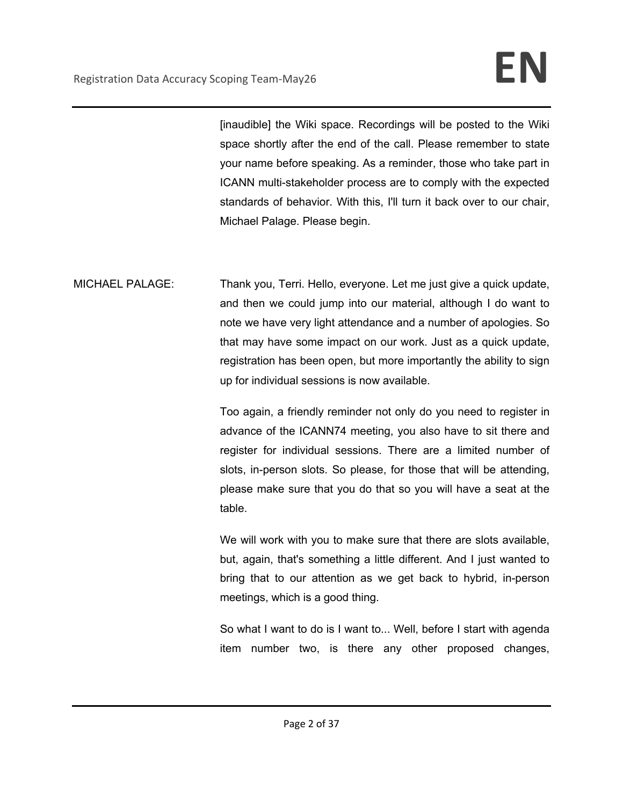[inaudible] the Wiki space. Recordings will be posted to the Wiki space shortly after the end of the call. Please remember to state your name before speaking. As a reminder, those who take part in ICANN multi-stakeholder process are to comply with the expected standards of behavior. With this, I'll turn it back over to our chair, Michael Palage. Please begin.

MICHAEL PALAGE: Thank you, Terri. Hello, everyone. Let me just give a quick update, and then we could jump into our material, although I do want to note we have very light attendance and a number of apologies. So that may have some impact on our work. Just as a quick update, registration has been open, but more importantly the ability to sign up for individual sessions is now available.

> Too again, a friendly reminder not only do you need to register in advance of the ICANN74 meeting, you also have to sit there and register for individual sessions. There are a limited number of slots, in-person slots. So please, for those that will be attending, please make sure that you do that so you will have a seat at the table.

> We will work with you to make sure that there are slots available, but, again, that's something a little different. And I just wanted to bring that to our attention as we get back to hybrid, in-person meetings, which is a good thing.

> So what I want to do is I want to... Well, before I start with agenda item number two, is there any other proposed changes,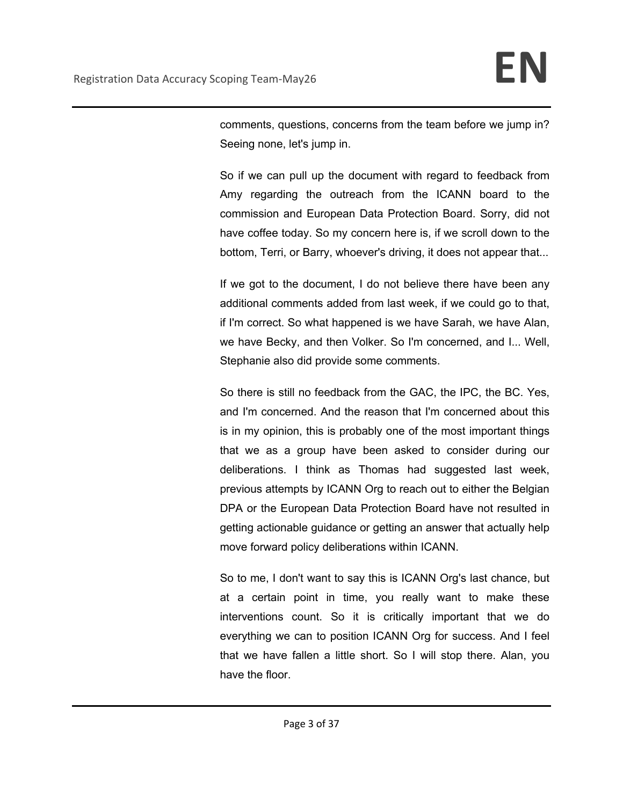comments, questions, concerns from the team before we jump in? Seeing none, let's jump in.

So if we can pull up the document with regard to feedback from Amy regarding the outreach from the ICANN board to the commission and European Data Protection Board. Sorry, did not have coffee today. So my concern here is, if we scroll down to the bottom, Terri, or Barry, whoever's driving, it does not appear that...

If we got to the document, I do not believe there have been any additional comments added from last week, if we could go to that, if I'm correct. So what happened is we have Sarah, we have Alan, we have Becky, and then Volker. So I'm concerned, and I... Well, Stephanie also did provide some comments.

So there is still no feedback from the GAC, the IPC, the BC. Yes, and I'm concerned. And the reason that I'm concerned about this is in my opinion, this is probably one of the most important things that we as a group have been asked to consider during our deliberations. I think as Thomas had suggested last week, previous attempts by ICANN Org to reach out to either the Belgian DPA or the European Data Protection Board have not resulted in getting actionable guidance or getting an answer that actually help move forward policy deliberations within ICANN.

So to me, I don't want to say this is ICANN Org's last chance, but at a certain point in time, you really want to make these interventions count. So it is critically important that we do everything we can to position ICANN Org for success. And I feel that we have fallen a little short. So I will stop there. Alan, you have the floor.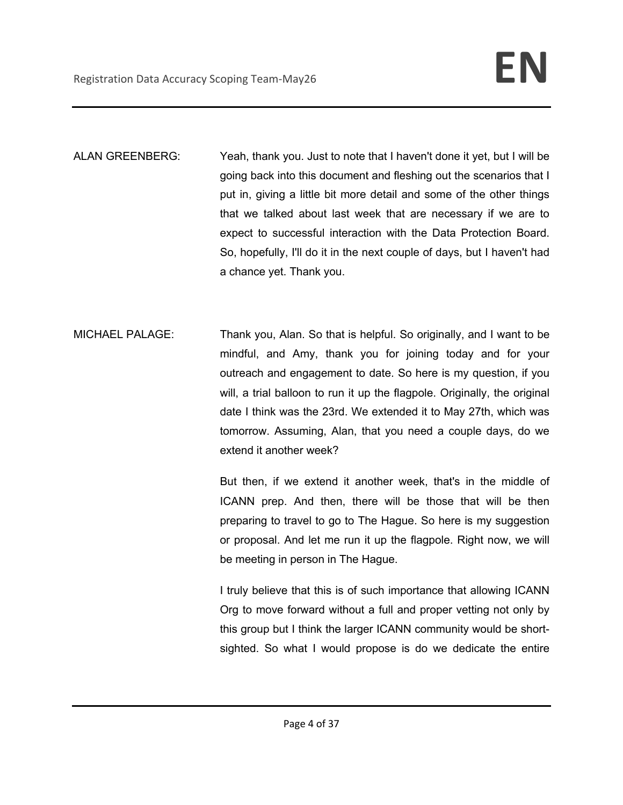ALAN GREENBERG: Yeah, thank you. Just to note that I haven't done it yet, but I will be going back into this document and fleshing out the scenarios that I put in, giving a little bit more detail and some of the other things that we talked about last week that are necessary if we are to expect to successful interaction with the Data Protection Board. So, hopefully, I'll do it in the next couple of days, but I haven't had a chance yet. Thank you.

MICHAEL PALAGE: Thank you, Alan. So that is helpful. So originally, and I want to be mindful, and Amy, thank you for joining today and for your outreach and engagement to date. So here is my question, if you will, a trial balloon to run it up the flagpole. Originally, the original date I think was the 23rd. We extended it to May 27th, which was tomorrow. Assuming, Alan, that you need a couple days, do we extend it another week?

> But then, if we extend it another week, that's in the middle of ICANN prep. And then, there will be those that will be then preparing to travel to go to The Hague. So here is my suggestion or proposal. And let me run it up the flagpole. Right now, we will be meeting in person in The Hague.

> I truly believe that this is of such importance that allowing ICANN Org to move forward without a full and proper vetting not only by this group but I think the larger ICANN community would be shortsighted. So what I would propose is do we dedicate the entire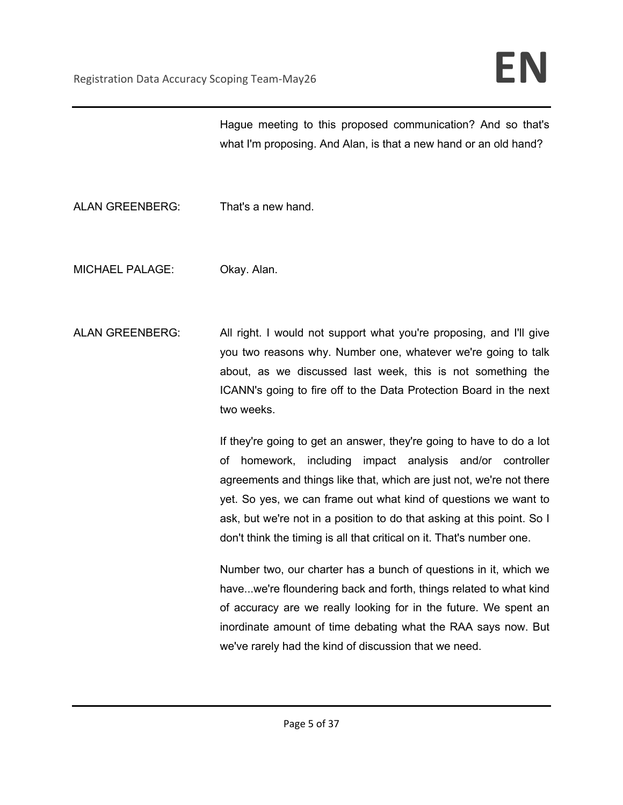Hague meeting to this proposed communication? And so that's what I'm proposing. And Alan, is that a new hand or an old hand?

ALAN GREENBERG: That's a new hand.

MICHAEL PALAGE: Okay. Alan.

ALAN GREENBERG: All right. I would not support what you're proposing, and I'll give you two reasons why. Number one, whatever we're going to talk about, as we discussed last week, this is not something the ICANN's going to fire off to the Data Protection Board in the next two weeks.

> If they're going to get an answer, they're going to have to do a lot of homework, including impact analysis and/or controller agreements and things like that, which are just not, we're not there yet. So yes, we can frame out what kind of questions we want to ask, but we're not in a position to do that asking at this point. So I don't think the timing is all that critical on it. That's number one.

> Number two, our charter has a bunch of questions in it, which we have...we're floundering back and forth, things related to what kind of accuracy are we really looking for in the future. We spent an inordinate amount of time debating what the RAA says now. But we've rarely had the kind of discussion that we need.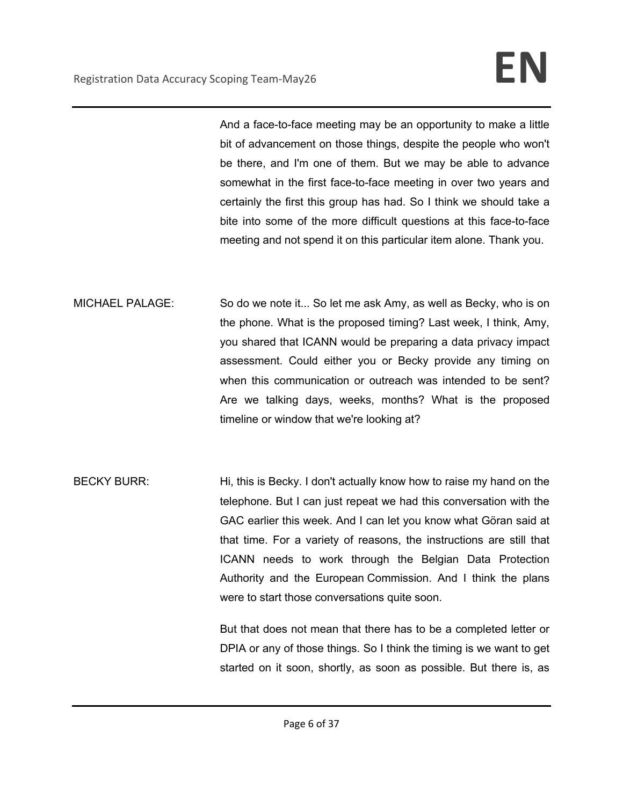And a face-to-face meeting may be an opportunity to make a little bit of advancement on those things, despite the people who won't be there, and I'm one of them. But we may be able to advance somewhat in the first face-to-face meeting in over two years and certainly the first this group has had. So I think we should take a bite into some of the more difficult questions at this face-to-face meeting and not spend it on this particular item alone. Thank you.

MICHAEL PALAGE: So do we note it... So let me ask Amy, as well as Becky, who is on the phone. What is the proposed timing? Last week, I think, Amy, you shared that ICANN would be preparing a data privacy impact assessment. Could either you or Becky provide any timing on when this communication or outreach was intended to be sent? Are we talking days, weeks, months? What is the proposed timeline or window that we're looking at?

BECKY BURR: Hi, this is Becky. I don't actually know how to raise my hand on the telephone. But I can just repeat we had this conversation with the GAC earlier this week. And I can let you know what Göran said at that time. For a variety of reasons, the instructions are still that ICANN needs to work through the Belgian Data Protection Authority and the European Commission. And I think the plans were to start those conversations quite soon.

> But that does not mean that there has to be a completed letter or DPIA or any of those things. So I think the timing is we want to get started on it soon, shortly, as soon as possible. But there is, as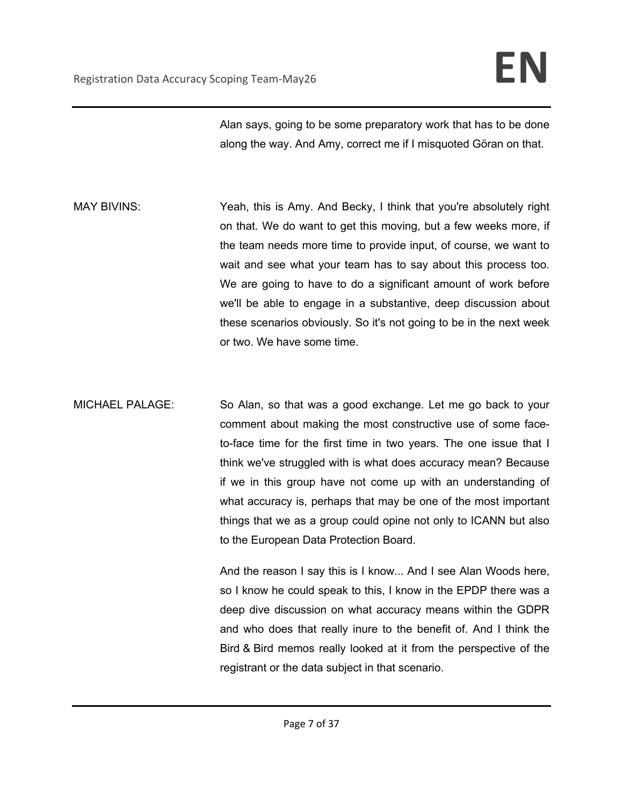Alan says, going to be some preparatory work that has to be done along the way. And Amy, correct me if I misquoted Göran on that.

MAY BIVINS: Yeah, this is Amy. And Becky, I think that you're absolutely right on that. We do want to get this moving, but a few weeks more, if the team needs more time to provide input, of course, we want to wait and see what your team has to say about this process too. We are going to have to do a significant amount of work before we'll be able to engage in a substantive, deep discussion about these scenarios obviously. So it's not going to be in the next week or two. We have some time.

MICHAEL PALAGE: So Alan, so that was a good exchange. Let me go back to your comment about making the most constructive use of some faceto-face time for the first time in two years. The one issue that I think we've struggled with is what does accuracy mean? Because if we in this group have not come up with an understanding of what accuracy is, perhaps that may be one of the most important things that we as a group could opine not only to ICANN but also to the European Data Protection Board.

> And the reason I say this is I know... And I see Alan Woods here, so I know he could speak to this, I know in the EPDP there was a deep dive discussion on what accuracy means within the GDPR and who does that really inure to the benefit of. And I think the Bird & Bird memos really looked at it from the perspective of the registrant or the data subject in that scenario.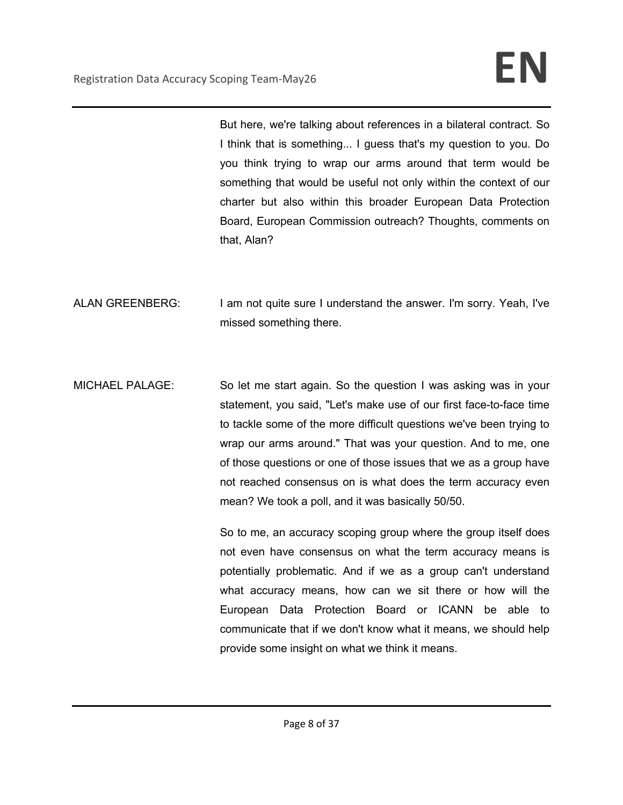But here, we're talking about references in a bilateral contract. So I think that is something... I guess that's my question to you. Do you think trying to wrap our arms around that term would be something that would be useful not only within the context of our charter but also within this broader European Data Protection Board, European Commission outreach? Thoughts, comments on that, Alan?

ALAN GREENBERG: I am not quite sure I understand the answer. I'm sorry. Yeah, I've missed something there.

MICHAEL PALAGE: So let me start again. So the question I was asking was in your statement, you said, "Let's make use of our first face-to-face time to tackle some of the more difficult questions we've been trying to wrap our arms around." That was your question. And to me, one of those questions or one of those issues that we as a group have not reached consensus on is what does the term accuracy even mean? We took a poll, and it was basically 50/50.

> So to me, an accuracy scoping group where the group itself does not even have consensus on what the term accuracy means is potentially problematic. And if we as a group can't understand what accuracy means, how can we sit there or how will the European Data Protection Board or ICANN be able to communicate that if we don't know what it means, we should help provide some insight on what we think it means.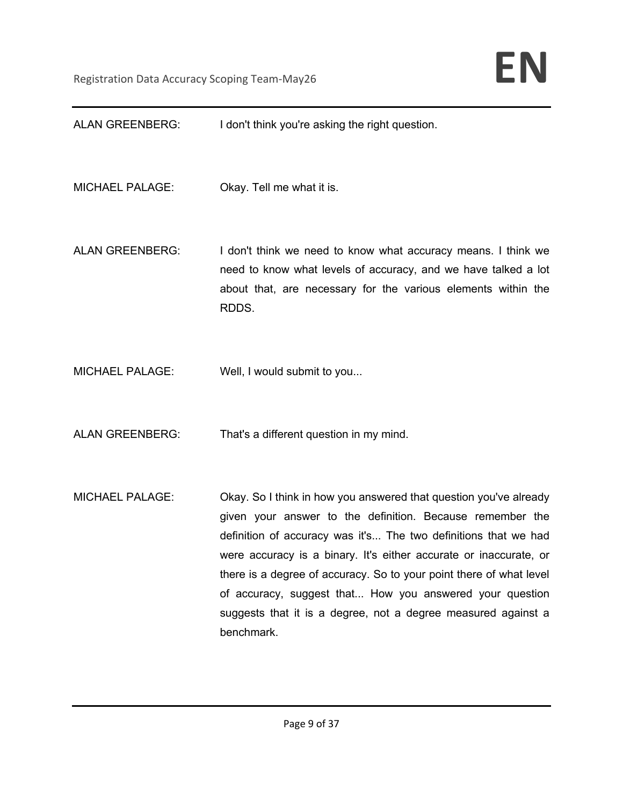ALAN GREENBERG: I don't think you're asking the right question.

MICHAEL PALAGE: Okay. Tell me what it is.

- ALAN GREENBERG: I don't think we need to know what accuracy means. I think we need to know what levels of accuracy, and we have talked a lot about that, are necessary for the various elements within the RDDS.
- MICHAEL PALAGE: Well, I would submit to you...
- ALAN GREENBERG: That's a different question in my mind.
- MICHAEL PALAGE: Okay. So I think in how you answered that question you've already given your answer to the definition. Because remember the definition of accuracy was it's... The two definitions that we had were accuracy is a binary. It's either accurate or inaccurate, or there is a degree of accuracy. So to your point there of what level of accuracy, suggest that... How you answered your question suggests that it is a degree, not a degree measured against a benchmark.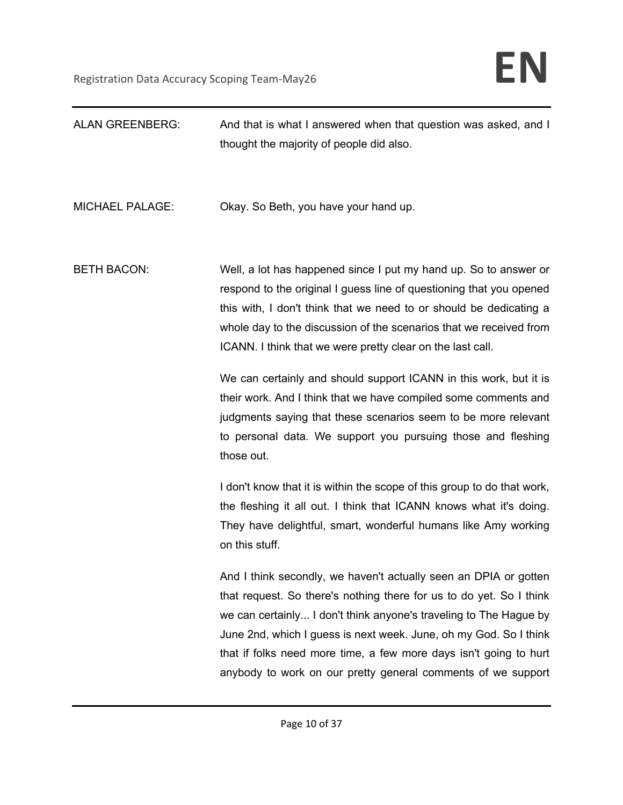| <b>ALAN GREENBERG:</b> | And that is what I answered when that question was asked, and I<br>thought the majority of people did also.                                                                                                                                                                                                                                                                                                                                                                                                                                                                                                                               |
|------------------------|-------------------------------------------------------------------------------------------------------------------------------------------------------------------------------------------------------------------------------------------------------------------------------------------------------------------------------------------------------------------------------------------------------------------------------------------------------------------------------------------------------------------------------------------------------------------------------------------------------------------------------------------|
| <b>MICHAEL PALAGE:</b> | Okay. So Beth, you have your hand up.                                                                                                                                                                                                                                                                                                                                                                                                                                                                                                                                                                                                     |
| <b>BETH BACON:</b>     | Well, a lot has happened since I put my hand up. So to answer or<br>respond to the original I guess line of questioning that you opened<br>this with, I don't think that we need to or should be dedicating a<br>whole day to the discussion of the scenarios that we received from<br>ICANN. I think that we were pretty clear on the last call.<br>We can certainly and should support ICANN in this work, but it is<br>their work. And I think that we have compiled some comments and<br>judgments saying that these scenarios seem to be more relevant<br>to personal data. We support you pursuing those and fleshing<br>those out. |
|                        | I don't know that it is within the scope of this group to do that work,<br>the fleshing it all out. I think that ICANN knows what it's doing.<br>They have delightful, smart, wonderful humans like Amy working<br>on this stuff.                                                                                                                                                                                                                                                                                                                                                                                                         |
|                        | And I think secondly, we haven't actually seen an DPIA or gotten<br>that request. So there's nothing there for us to do yet. So I think<br>we can certainly I don't think anyone's traveling to The Hague by<br>June 2nd, which I guess is next week. June, oh my God. So I think<br>that if folks need more time, a few more days isn't going to hurt<br>anybody to work on our pretty general comments of we support                                                                                                                                                                                                                    |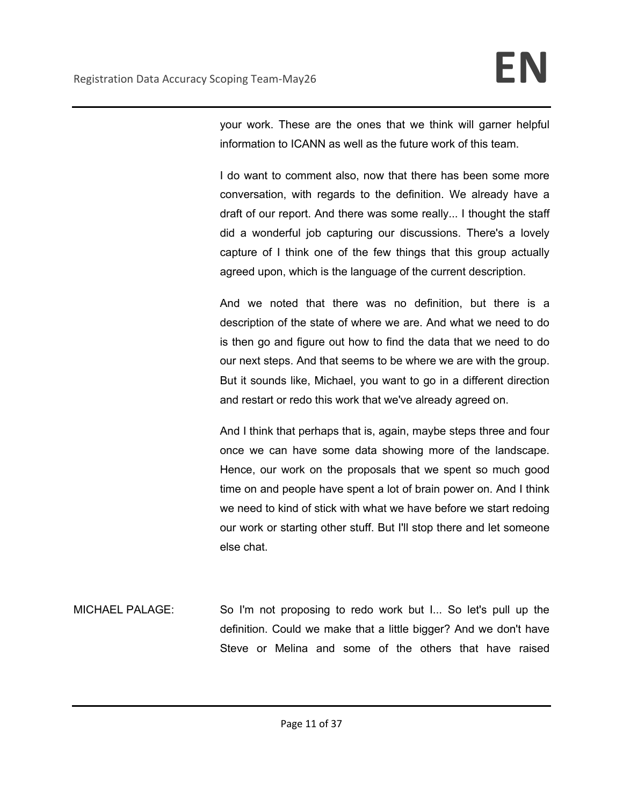your work. These are the ones that we think will garner helpful information to ICANN as well as the future work of this team.

I do want to comment also, now that there has been some more conversation, with regards to the definition. We already have a draft of our report. And there was some really... I thought the staff did a wonderful job capturing our discussions. There's a lovely capture of I think one of the few things that this group actually agreed upon, which is the language of the current description.

And we noted that there was no definition, but there is a description of the state of where we are. And what we need to do is then go and figure out how to find the data that we need to do our next steps. And that seems to be where we are with the group. But it sounds like, Michael, you want to go in a different direction and restart or redo this work that we've already agreed on.

And I think that perhaps that is, again, maybe steps three and four once we can have some data showing more of the landscape. Hence, our work on the proposals that we spent so much good time on and people have spent a lot of brain power on. And I think we need to kind of stick with what we have before we start redoing our work or starting other stuff. But I'll stop there and let someone else chat.

MICHAEL PALAGE: So I'm not proposing to redo work but I... So let's pull up the definition. Could we make that a little bigger? And we don't have Steve or Melina and some of the others that have raised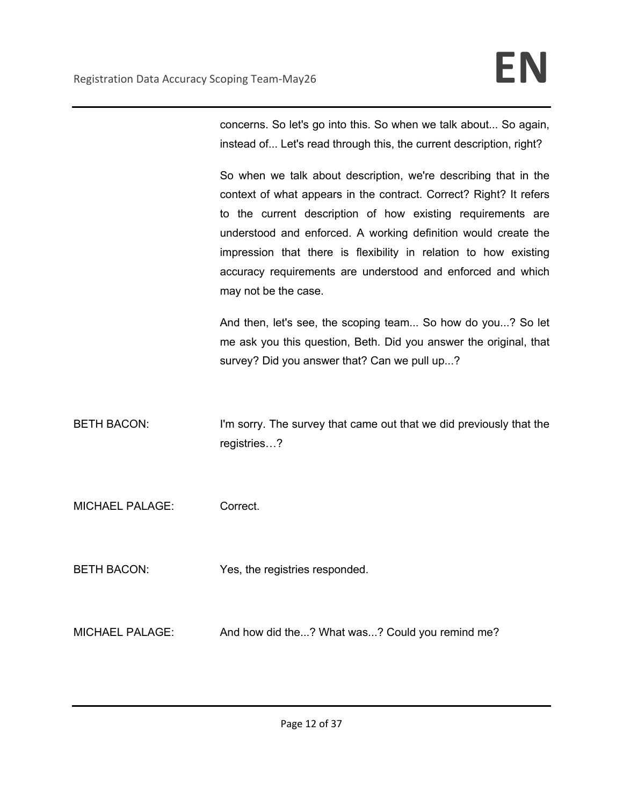concerns. So let's go into this. So when we talk about... So again, instead of... Let's read through this, the current description, right?

So when we talk about description, we're describing that in the context of what appears in the contract. Correct? Right? It refers to the current description of how existing requirements are understood and enforced. A working definition would create the impression that there is flexibility in relation to how existing accuracy requirements are understood and enforced and which may not be the case.

And then, let's see, the scoping team... So how do you...? So let me ask you this question, Beth. Did you answer the original, that survey? Did you answer that? Can we pull up...?

BETH BACON: I'm sorry. The survey that came out that we did previously that the registries…?

MICHAEL PALAGE: Correct.

BETH BACON: Yes, the registries responded.

MICHAEL PALAGE: And how did the...? What was...? Could you remind me?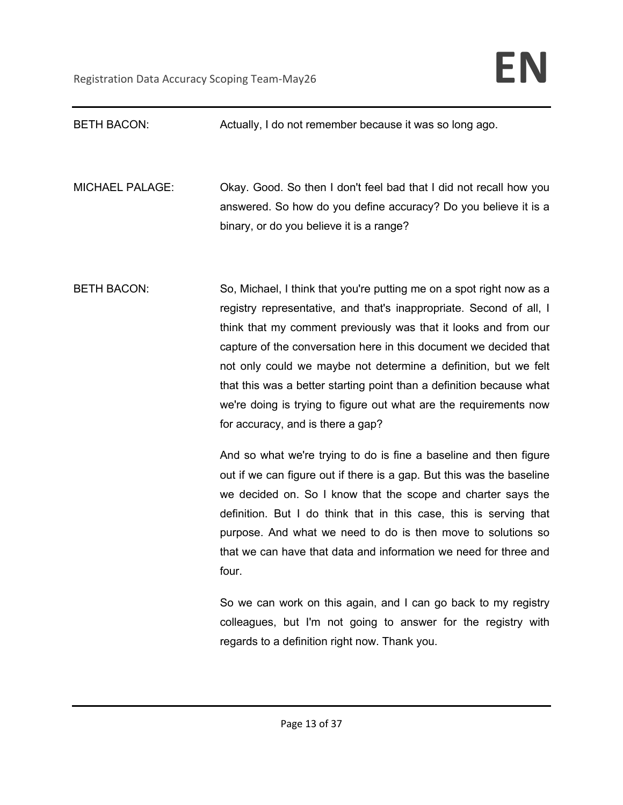| <b>BETH BACON:</b>     | Actually, I do not remember because it was so long ago.                                                                                                                                                                                                                                                                                                                                                                                                                                                                                  |
|------------------------|------------------------------------------------------------------------------------------------------------------------------------------------------------------------------------------------------------------------------------------------------------------------------------------------------------------------------------------------------------------------------------------------------------------------------------------------------------------------------------------------------------------------------------------|
| <b>MICHAEL PALAGE:</b> | Okay. Good. So then I don't feel bad that I did not recall how you<br>answered. So how do you define accuracy? Do you believe it is a<br>binary, or do you believe it is a range?                                                                                                                                                                                                                                                                                                                                                        |
| <b>BETH BACON:</b>     | So, Michael, I think that you're putting me on a spot right now as a<br>registry representative, and that's inappropriate. Second of all, I<br>think that my comment previously was that it looks and from our<br>capture of the conversation here in this document we decided that<br>not only could we maybe not determine a definition, but we felt<br>that this was a better starting point than a definition because what<br>we're doing is trying to figure out what are the requirements now<br>for accuracy, and is there a gap? |
|                        | And so what we're trying to do is fine a baseline and then figure<br>out if we can figure out if there is a gap. But this was the baseline<br>we decided on. So I know that the scope and charter says the<br>definition. But I do think that in this case, this is serving that<br>purpose. And what we need to do is then move to solutions so<br>that we can have that data and information we need for three and<br>four.                                                                                                            |
|                        | So we can work on this again, and I can go back to my registry<br>colleagues, but I'm not going to answer for the registry with<br>regards to a definition right now. Thank you.                                                                                                                                                                                                                                                                                                                                                         |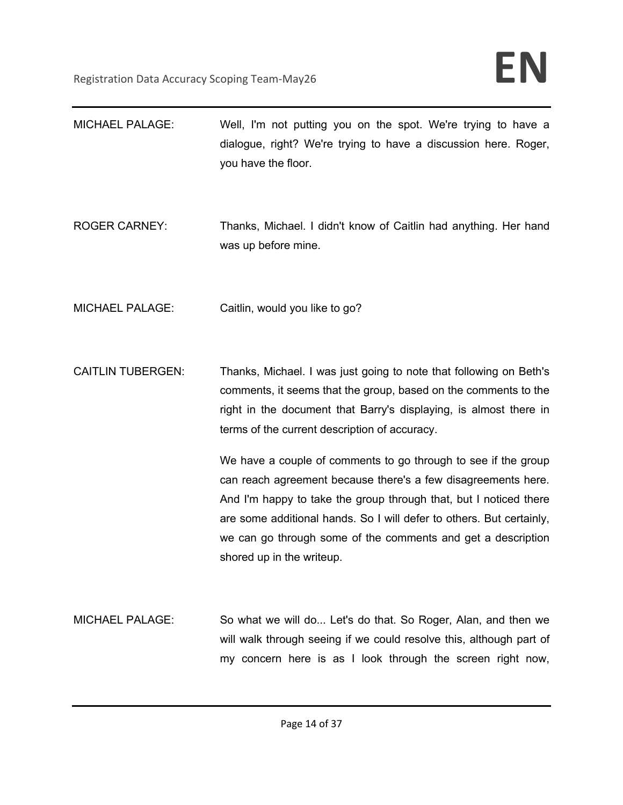| <b>MICHAEL PALAGE:</b>   | Well, I'm not putting you on the spot. We're trying to have a<br>dialogue, right? We're trying to have a discussion here. Roger,<br>you have the floor.                                                                                                                                                                                                                   |
|--------------------------|---------------------------------------------------------------------------------------------------------------------------------------------------------------------------------------------------------------------------------------------------------------------------------------------------------------------------------------------------------------------------|
| <b>ROGER CARNEY:</b>     | Thanks, Michael. I didn't know of Caitlin had anything. Her hand<br>was up before mine.                                                                                                                                                                                                                                                                                   |
| <b>MICHAEL PALAGE:</b>   | Caitlin, would you like to go?                                                                                                                                                                                                                                                                                                                                            |
| <b>CAITLIN TUBERGEN:</b> | Thanks, Michael. I was just going to note that following on Beth's<br>comments, it seems that the group, based on the comments to the<br>right in the document that Barry's displaying, is almost there in<br>terms of the current description of accuracy.                                                                                                               |
|                          | We have a couple of comments to go through to see if the group<br>can reach agreement because there's a few disagreements here.<br>And I'm happy to take the group through that, but I noticed there<br>are some additional hands. So I will defer to others. But certainly,<br>we can go through some of the comments and get a description<br>shored up in the writeup. |
| <b>MICHAEL PALAGE:</b>   | So what we will do Let's do that. So Roger, Alan, and then we<br>will walk through seeing if we could resolve this, although part of<br>my concern here is as I look through the screen right now,                                                                                                                                                                        |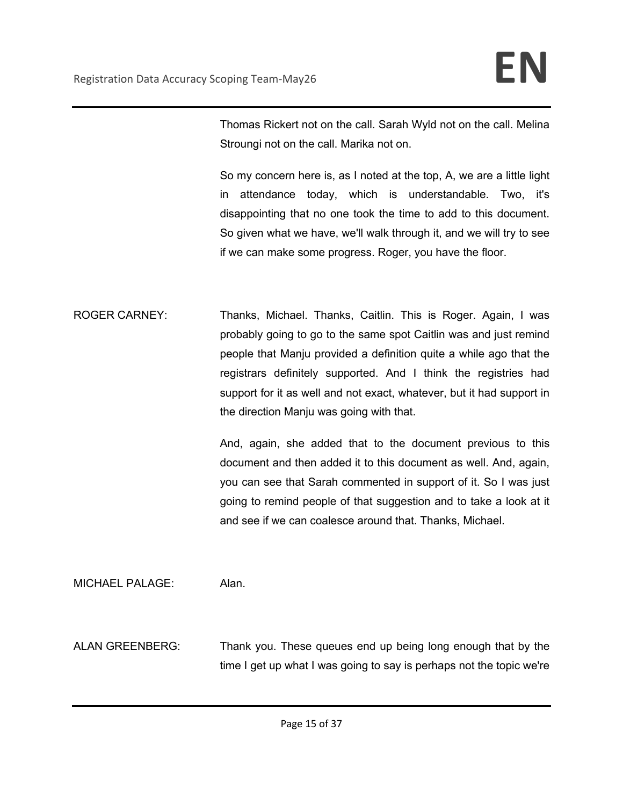Thomas Rickert not on the call. Sarah Wyld not on the call. Melina Stroungi not on the call. Marika not on.

So my concern here is, as I noted at the top, A, we are a little light in attendance today, which is understandable. Two, it's disappointing that no one took the time to add to this document. So given what we have, we'll walk through it, and we will try to see if we can make some progress. Roger, you have the floor.

ROGER CARNEY: Thanks, Michael. Thanks, Caitlin. This is Roger. Again, I was probably going to go to the same spot Caitlin was and just remind people that Manju provided a definition quite a while ago that the registrars definitely supported. And I think the registries had support for it as well and not exact, whatever, but it had support in the direction Manju was going with that.

> And, again, she added that to the document previous to this document and then added it to this document as well. And, again, you can see that Sarah commented in support of it. So I was just going to remind people of that suggestion and to take a look at it and see if we can coalesce around that. Thanks, Michael.

MICHAEL PALAGE: Alan.

ALAN GREENBERG: Thank you. These queues end up being long enough that by the time I get up what I was going to say is perhaps not the topic we're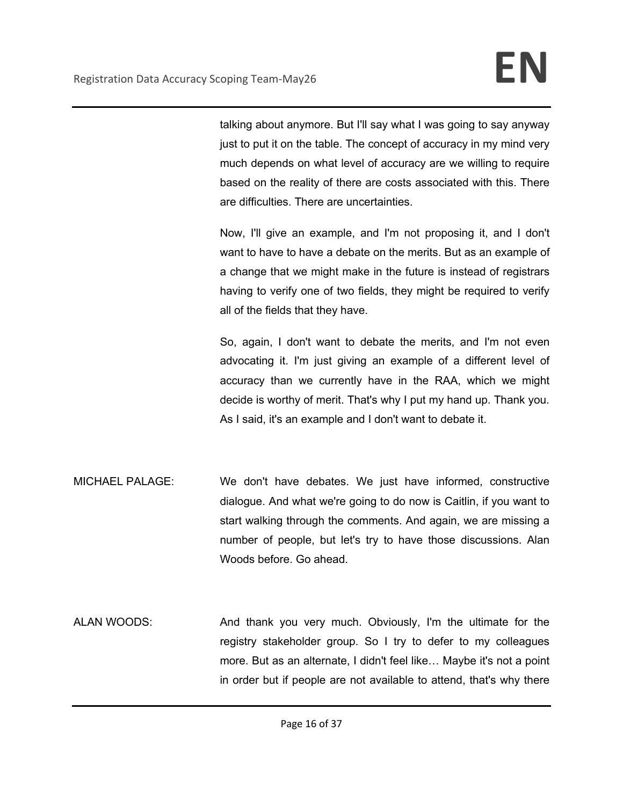talking about anymore. But I'll say what I was going to say anyway just to put it on the table. The concept of accuracy in my mind very much depends on what level of accuracy are we willing to require based on the reality of there are costs associated with this. There are difficulties. There are uncertainties.

Now, I'll give an example, and I'm not proposing it, and I don't want to have to have a debate on the merits. But as an example of a change that we might make in the future is instead of registrars having to verify one of two fields, they might be required to verify all of the fields that they have.

So, again, I don't want to debate the merits, and I'm not even advocating it. I'm just giving an example of a different level of accuracy than we currently have in the RAA, which we might decide is worthy of merit. That's why I put my hand up. Thank you. As I said, it's an example and I don't want to debate it.

- MICHAEL PALAGE: We don't have debates. We just have informed, constructive dialogue. And what we're going to do now is Caitlin, if you want to start walking through the comments. And again, we are missing a number of people, but let's try to have those discussions. Alan Woods before. Go ahead.
- ALAN WOODS: And thank you very much. Obviously, I'm the ultimate for the registry stakeholder group. So I try to defer to my colleagues more. But as an alternate, I didn't feel like… Maybe it's not a point in order but if people are not available to attend, that's why there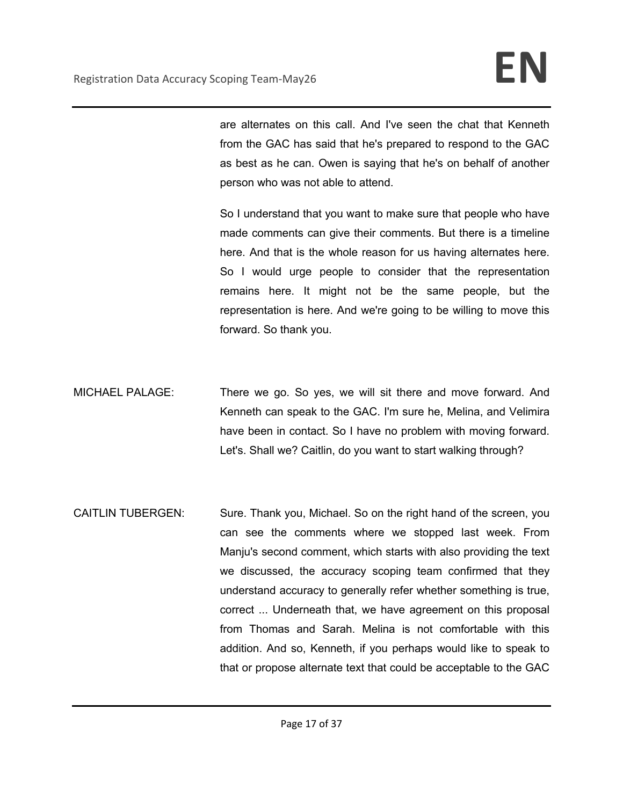are alternates on this call. And I've seen the chat that Kenneth from the GAC has said that he's prepared to respond to the GAC as best as he can. Owen is saying that he's on behalf of another person who was not able to attend.

So I understand that you want to make sure that people who have made comments can give their comments. But there is a timeline here. And that is the whole reason for us having alternates here. So I would urge people to consider that the representation remains here. It might not be the same people, but the representation is here. And we're going to be willing to move this forward. So thank you.

- MICHAEL PALAGE: There we go. So yes, we will sit there and move forward. And Kenneth can speak to the GAC. I'm sure he, Melina, and Velimira have been in contact. So I have no problem with moving forward. Let's. Shall we? Caitlin, do you want to start walking through?
- CAITLIN TUBERGEN: Sure. Thank you, Michael. So on the right hand of the screen, you can see the comments where we stopped last week. From Manju's second comment, which starts with also providing the text we discussed, the accuracy scoping team confirmed that they understand accuracy to generally refer whether something is true, correct ... Underneath that, we have agreement on this proposal from Thomas and Sarah. Melina is not comfortable with this addition. And so, Kenneth, if you perhaps would like to speak to that or propose alternate text that could be acceptable to the GAC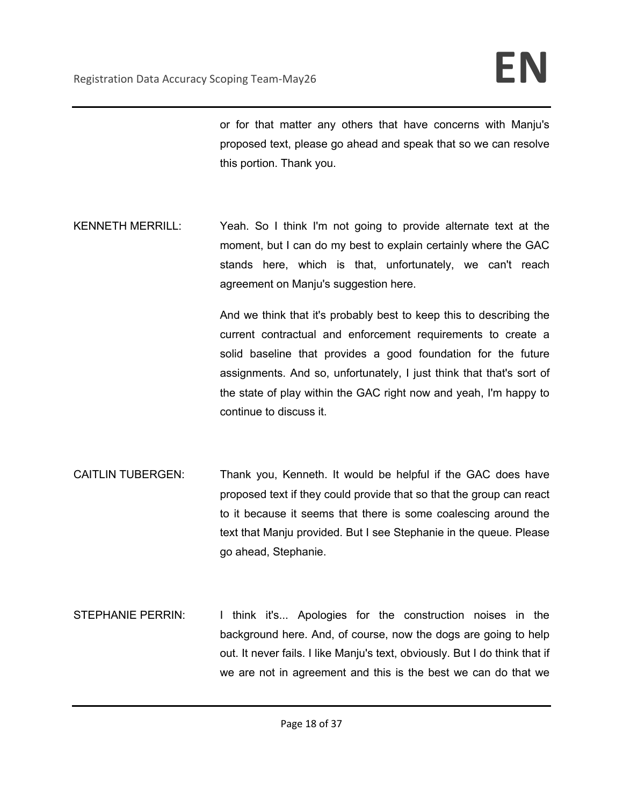or for that matter any others that have concerns with Manju's proposed text, please go ahead and speak that so we can resolve this portion. Thank you.

KENNETH MERRILL: Yeah. So I think I'm not going to provide alternate text at the moment, but I can do my best to explain certainly where the GAC stands here, which is that, unfortunately, we can't reach agreement on Manju's suggestion here.

> And we think that it's probably best to keep this to describing the current contractual and enforcement requirements to create a solid baseline that provides a good foundation for the future assignments. And so, unfortunately, I just think that that's sort of the state of play within the GAC right now and yeah, I'm happy to continue to discuss it.

- CAITLIN TUBERGEN: Thank you, Kenneth. It would be helpful if the GAC does have proposed text if they could provide that so that the group can react to it because it seems that there is some coalescing around the text that Manju provided. But I see Stephanie in the queue. Please go ahead, Stephanie.
- STEPHANIE PERRIN: I think it's... Apologies for the construction noises in the background here. And, of course, now the dogs are going to help out. It never fails. I like Manju's text, obviously. But I do think that if we are not in agreement and this is the best we can do that we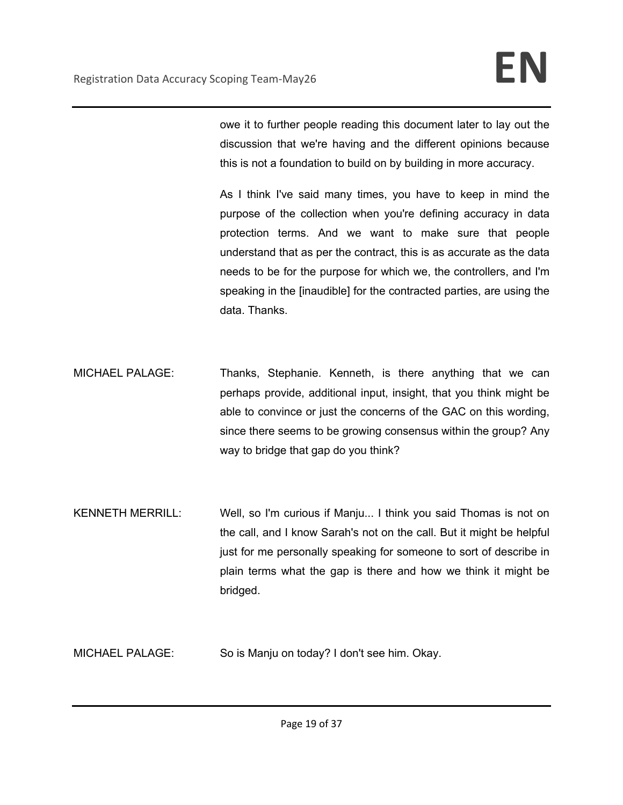owe it to further people reading this document later to lay out the discussion that we're having and the different opinions because this is not a foundation to build on by building in more accuracy.

As I think I've said many times, you have to keep in mind the purpose of the collection when you're defining accuracy in data protection terms. And we want to make sure that people understand that as per the contract, this is as accurate as the data needs to be for the purpose for which we, the controllers, and I'm speaking in the [inaudible] for the contracted parties, are using the data. Thanks.

- MICHAEL PALAGE: Thanks, Stephanie. Kenneth, is there anything that we can perhaps provide, additional input, insight, that you think might be able to convince or just the concerns of the GAC on this wording, since there seems to be growing consensus within the group? Any way to bridge that gap do you think?
- KENNETH MERRILL: Well, so I'm curious if Manju... I think you said Thomas is not on the call, and I know Sarah's not on the call. But it might be helpful just for me personally speaking for someone to sort of describe in plain terms what the gap is there and how we think it might be bridged.

MICHAEL PALAGE: So is Manju on today? I don't see him. Okay.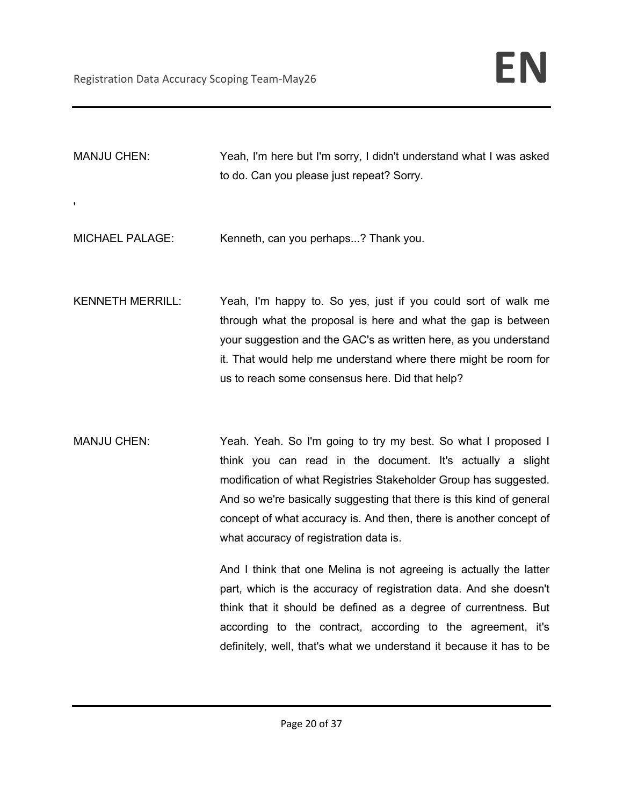'

MANJU CHEN: Yeah, I'm here but I'm sorry, I didn't understand what I was asked to do. Can you please just repeat? Sorry.

MICHAEL PALAGE: Kenneth, can you perhaps...? Thank you.

- KENNETH MERRILL: Yeah, I'm happy to. So yes, just if you could sort of walk me through what the proposal is here and what the gap is between your suggestion and the GAC's as written here, as you understand it. That would help me understand where there might be room for us to reach some consensus here. Did that help?
- MANJU CHEN: Yeah. Yeah. So I'm going to try my best. So what I proposed I think you can read in the document. It's actually a slight modification of what Registries Stakeholder Group has suggested. And so we're basically suggesting that there is this kind of general concept of what accuracy is. And then, there is another concept of what accuracy of registration data is.

And I think that one Melina is not agreeing is actually the latter part, which is the accuracy of registration data. And she doesn't think that it should be defined as a degree of currentness. But according to the contract, according to the agreement, it's definitely, well, that's what we understand it because it has to be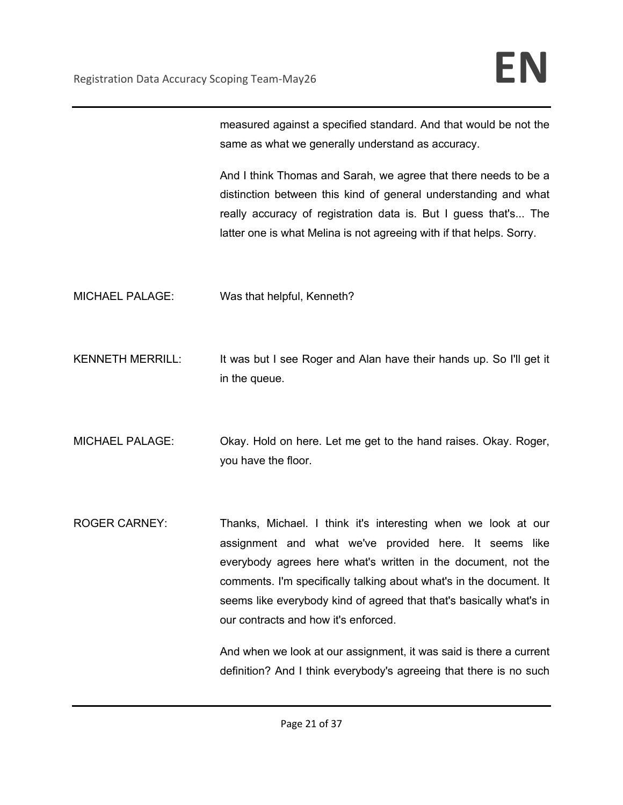measured against a specified standard. And that would be not the same as what we generally understand as accuracy.

And I think Thomas and Sarah, we agree that there needs to be a distinction between this kind of general understanding and what really accuracy of registration data is. But I guess that's... The latter one is what Melina is not agreeing with if that helps. Sorry.

- MICHAEL PALAGE: Was that helpful, Kenneth?
- KENNETH MERRILL: It was but I see Roger and Alan have their hands up. So I'll get it in the queue.
- MICHAEL PALAGE: Okay. Hold on here. Let me get to the hand raises. Okay. Roger, you have the floor.
- ROGER CARNEY: Thanks, Michael. I think it's interesting when we look at our assignment and what we've provided here. It seems like everybody agrees here what's written in the document, not the comments. I'm specifically talking about what's in the document. It seems like everybody kind of agreed that that's basically what's in our contracts and how it's enforced.

And when we look at our assignment, it was said is there a current definition? And I think everybody's agreeing that there is no such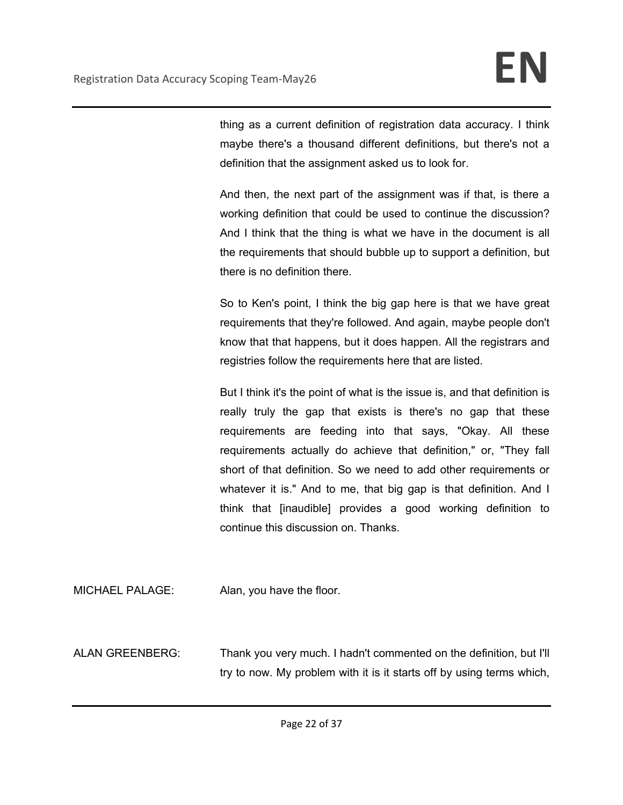thing as a current definition of registration data accuracy. I think maybe there's a thousand different definitions, but there's not a definition that the assignment asked us to look for.

And then, the next part of the assignment was if that, is there a working definition that could be used to continue the discussion? And I think that the thing is what we have in the document is all the requirements that should bubble up to support a definition, but there is no definition there.

So to Ken's point, I think the big gap here is that we have great requirements that they're followed. And again, maybe people don't know that that happens, but it does happen. All the registrars and registries follow the requirements here that are listed.

But I think it's the point of what is the issue is, and that definition is really truly the gap that exists is there's no gap that these requirements are feeding into that says, "Okay. All these requirements actually do achieve that definition," or, "They fall short of that definition. So we need to add other requirements or whatever it is." And to me, that big gap is that definition. And I think that [inaudible] provides a good working definition to continue this discussion on. Thanks.

MICHAEL PALAGE: Alan, you have the floor.

ALAN GREENBERG: Thank you very much. I hadn't commented on the definition, but I'll try to now. My problem with it is it starts off by using terms which,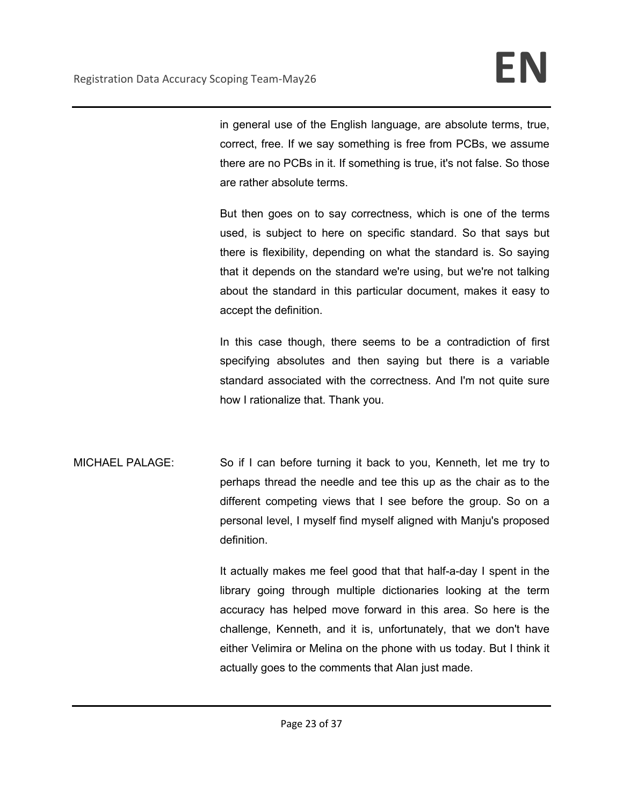in general use of the English language, are absolute terms, true, correct, free. If we say something is free from PCBs, we assume there are no PCBs in it. If something is true, it's not false. So those are rather absolute terms.

But then goes on to say correctness, which is one of the terms used, is subject to here on specific standard. So that says but there is flexibility, depending on what the standard is. So saying that it depends on the standard we're using, but we're not talking about the standard in this particular document, makes it easy to accept the definition.

In this case though, there seems to be a contradiction of first specifying absolutes and then saying but there is a variable standard associated with the correctness. And I'm not quite sure how I rationalize that. Thank you.

MICHAEL PALAGE: So if I can before turning it back to you, Kenneth, let me try to perhaps thread the needle and tee this up as the chair as to the different competing views that I see before the group. So on a personal level, I myself find myself aligned with Manju's proposed definition.

> It actually makes me feel good that that half-a-day I spent in the library going through multiple dictionaries looking at the term accuracy has helped move forward in this area. So here is the challenge, Kenneth, and it is, unfortunately, that we don't have either Velimira or Melina on the phone with us today. But I think it actually goes to the comments that Alan just made.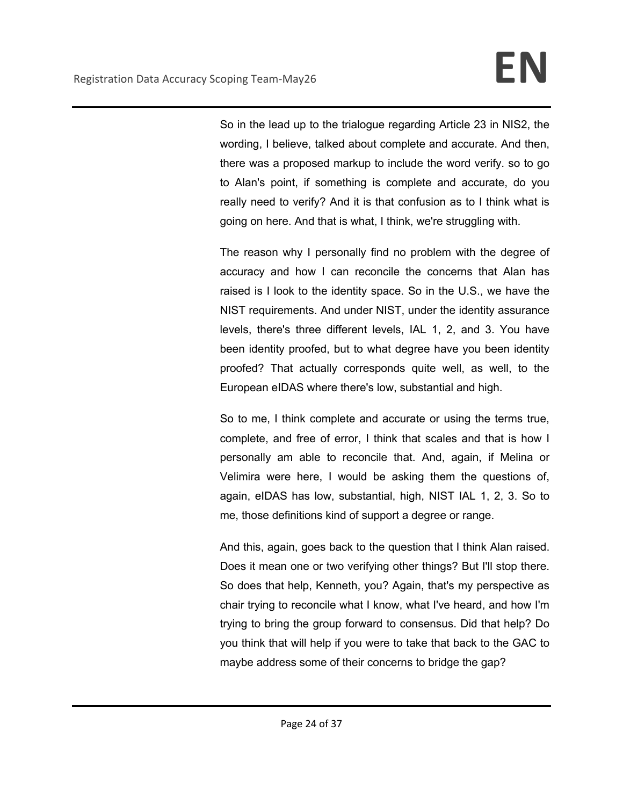So in the lead up to the trialogue regarding Article 23 in NIS2, the wording, I believe, talked about complete and accurate. And then, there was a proposed markup to include the word verify. so to go to Alan's point, if something is complete and accurate, do you really need to verify? And it is that confusion as to I think what is going on here. And that is what, I think, we're struggling with.

The reason why I personally find no problem with the degree of accuracy and how I can reconcile the concerns that Alan has raised is I look to the identity space. So in the U.S., we have the NIST requirements. And under NIST, under the identity assurance levels, there's three different levels, IAL 1, 2, and 3. You have been identity proofed, but to what degree have you been identity proofed? That actually corresponds quite well, as well, to the European eIDAS where there's low, substantial and high.

So to me, I think complete and accurate or using the terms true, complete, and free of error, I think that scales and that is how I personally am able to reconcile that. And, again, if Melina or Velimira were here, I would be asking them the questions of, again, eIDAS has low, substantial, high, NIST IAL 1, 2, 3. So to me, those definitions kind of support a degree or range.

And this, again, goes back to the question that I think Alan raised. Does it mean one or two verifying other things? But I'll stop there. So does that help, Kenneth, you? Again, that's my perspective as chair trying to reconcile what I know, what I've heard, and how I'm trying to bring the group forward to consensus. Did that help? Do you think that will help if you were to take that back to the GAC to maybe address some of their concerns to bridge the gap?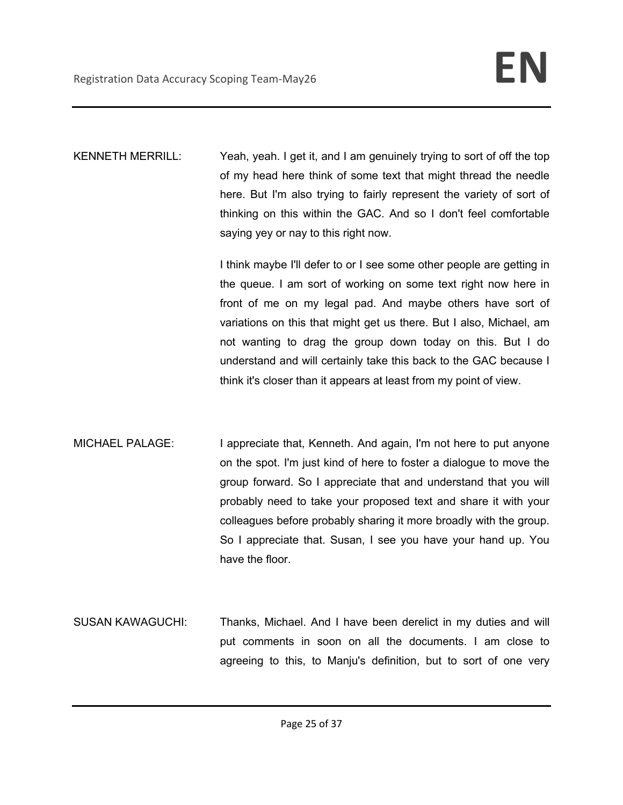KENNETH MERRILL: Yeah, yeah. I get it, and I am genuinely trying to sort of off the top of my head here think of some text that might thread the needle here. But I'm also trying to fairly represent the variety of sort of thinking on this within the GAC. And so I don't feel comfortable saying yey or nay to this right now.

> I think maybe I'll defer to or I see some other people are getting in the queue. I am sort of working on some text right now here in front of me on my legal pad. And maybe others have sort of variations on this that might get us there. But I also, Michael, am not wanting to drag the group down today on this. But I do understand and will certainly take this back to the GAC because I think it's closer than it appears at least from my point of view.

- MICHAEL PALAGE: I appreciate that, Kenneth. And again, I'm not here to put anyone on the spot. I'm just kind of here to foster a dialogue to move the group forward. So I appreciate that and understand that you will probably need to take your proposed text and share it with your colleagues before probably sharing it more broadly with the group. So I appreciate that. Susan, I see you have your hand up. You have the floor.
- SUSAN KAWAGUCHI: Thanks, Michael. And I have been derelict in my duties and will put comments in soon on all the documents. I am close to agreeing to this, to Manju's definition, but to sort of one very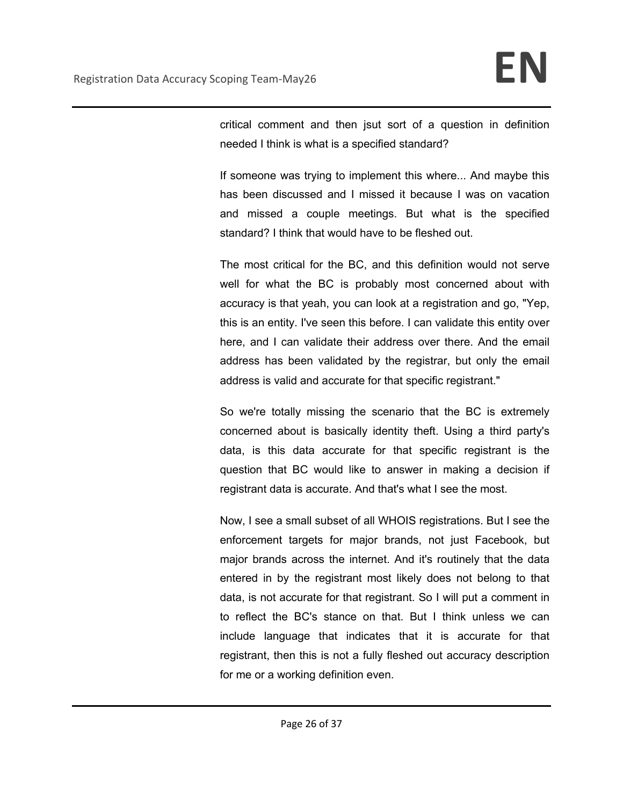critical comment and then jsut sort of a question in definition needed I think is what is a specified standard?

If someone was trying to implement this where... And maybe this has been discussed and I missed it because I was on vacation and missed a couple meetings. But what is the specified standard? I think that would have to be fleshed out.

The most critical for the BC, and this definition would not serve well for what the BC is probably most concerned about with accuracy is that yeah, you can look at a registration and go, "Yep, this is an entity. I've seen this before. I can validate this entity over here, and I can validate their address over there. And the email address has been validated by the registrar, but only the email address is valid and accurate for that specific registrant."

So we're totally missing the scenario that the BC is extremely concerned about is basically identity theft. Using a third party's data, is this data accurate for that specific registrant is the question that BC would like to answer in making a decision if registrant data is accurate. And that's what I see the most.

Now, I see a small subset of all WHOIS registrations. But I see the enforcement targets for major brands, not just Facebook, but major brands across the internet. And it's routinely that the data entered in by the registrant most likely does not belong to that data, is not accurate for that registrant. So I will put a comment in to reflect the BC's stance on that. But I think unless we can include language that indicates that it is accurate for that registrant, then this is not a fully fleshed out accuracy description for me or a working definition even.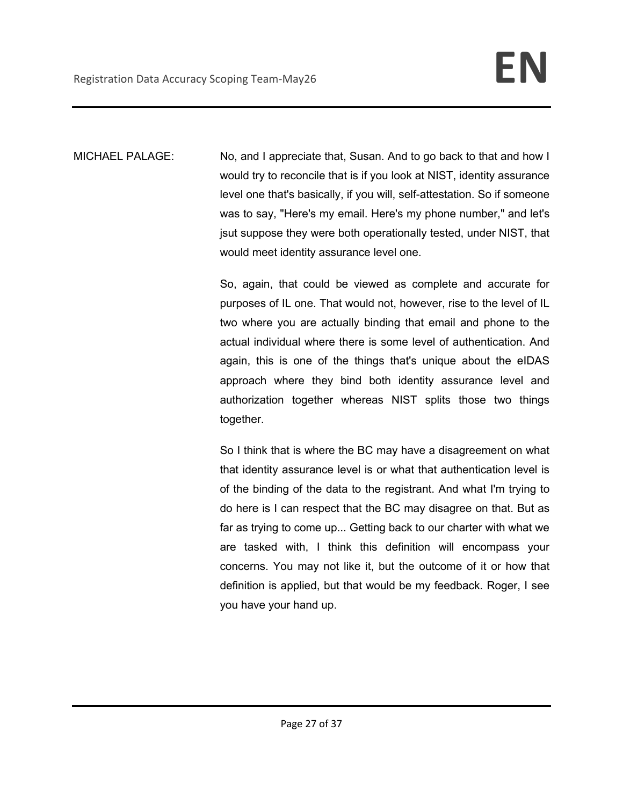MICHAEL PALAGE: No, and I appreciate that, Susan. And to go back to that and how I would try to reconcile that is if you look at NIST, identity assurance level one that's basically, if you will, self-attestation. So if someone was to say, "Here's my email. Here's my phone number," and let's jsut suppose they were both operationally tested, under NIST, that would meet identity assurance level one.

> So, again, that could be viewed as complete and accurate for purposes of IL one. That would not, however, rise to the level of IL two where you are actually binding that email and phone to the actual individual where there is some level of authentication. And again, this is one of the things that's unique about the eIDAS approach where they bind both identity assurance level and authorization together whereas NIST splits those two things together.

> So I think that is where the BC may have a disagreement on what that identity assurance level is or what that authentication level is of the binding of the data to the registrant. And what I'm trying to do here is I can respect that the BC may disagree on that. But as far as trying to come up... Getting back to our charter with what we are tasked with, I think this definition will encompass your concerns. You may not like it, but the outcome of it or how that definition is applied, but that would be my feedback. Roger, I see you have your hand up.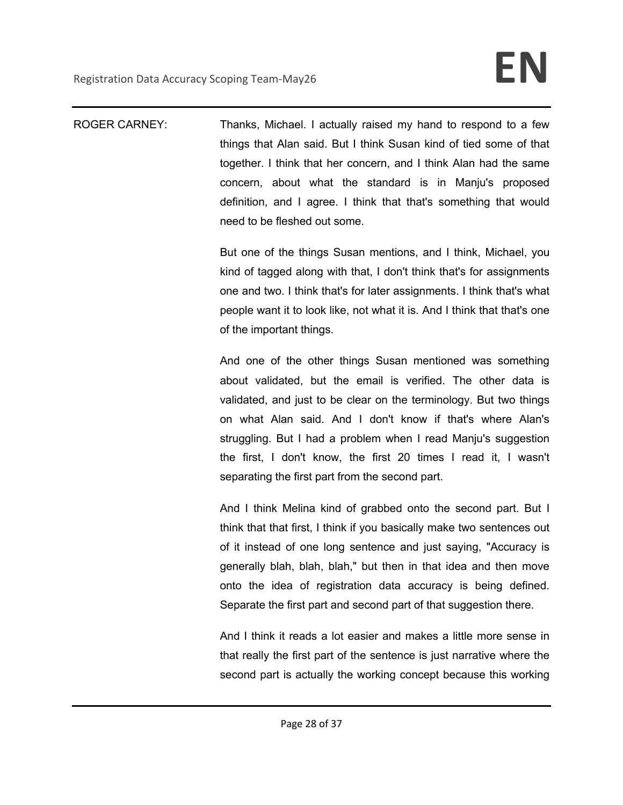ROGER CARNEY: Thanks, Michael. I actually raised my hand to respond to a few things that Alan said. But I think Susan kind of tied some of that together. I think that her concern, and I think Alan had the same concern, about what the standard is in Manju's proposed definition, and I agree. I think that that's something that would need to be fleshed out some.

> But one of the things Susan mentions, and I think, Michael, you kind of tagged along with that, I don't think that's for assignments one and two. I think that's for later assignments. I think that's what people want it to look like, not what it is. And I think that that's one of the important things.

> And one of the other things Susan mentioned was something about validated, but the email is verified. The other data is validated, and just to be clear on the terminology. But two things on what Alan said. And I don't know if that's where Alan's struggling. But I had a problem when I read Manju's suggestion the first, I don't know, the first 20 times I read it, I wasn't separating the first part from the second part.

> And I think Melina kind of grabbed onto the second part. But I think that that first, I think if you basically make two sentences out of it instead of one long sentence and just saying, "Accuracy is generally blah, blah, blah," but then in that idea and then move onto the idea of registration data accuracy is being defined. Separate the first part and second part of that suggestion there.

> And I think it reads a lot easier and makes a little more sense in that really the first part of the sentence is just narrative where the second part is actually the working concept because this working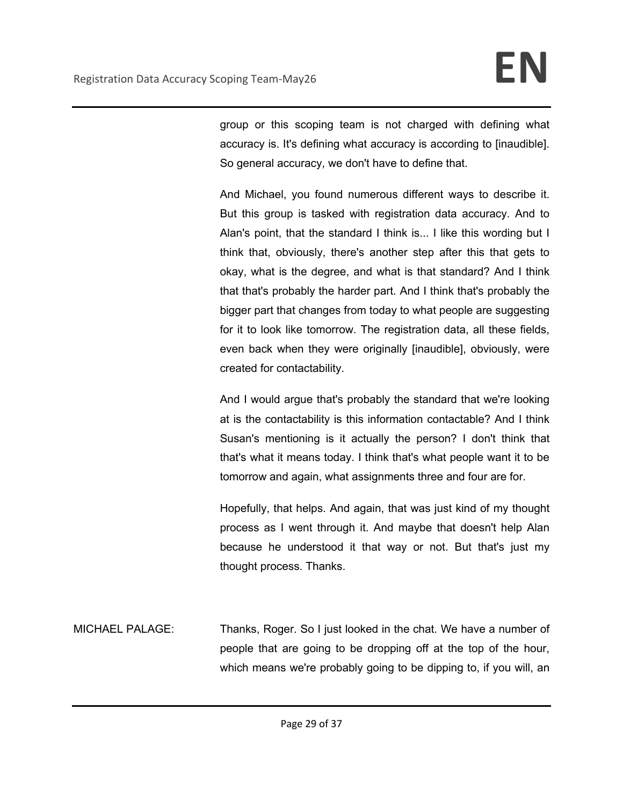group or this scoping team is not charged with defining what accuracy is. It's defining what accuracy is according to [inaudible]. So general accuracy, we don't have to define that.

And Michael, you found numerous different ways to describe it. But this group is tasked with registration data accuracy. And to Alan's point, that the standard I think is... I like this wording but I think that, obviously, there's another step after this that gets to okay, what is the degree, and what is that standard? And I think that that's probably the harder part. And I think that's probably the bigger part that changes from today to what people are suggesting for it to look like tomorrow. The registration data, all these fields, even back when they were originally [inaudible], obviously, were created for contactability.

And I would argue that's probably the standard that we're looking at is the contactability is this information contactable? And I think Susan's mentioning is it actually the person? I don't think that that's what it means today. I think that's what people want it to be tomorrow and again, what assignments three and four are for.

Hopefully, that helps. And again, that was just kind of my thought process as I went through it. And maybe that doesn't help Alan because he understood it that way or not. But that's just my thought process. Thanks.

MICHAEL PALAGE: Thanks, Roger. So I just looked in the chat. We have a number of people that are going to be dropping off at the top of the hour, which means we're probably going to be dipping to, if you will, an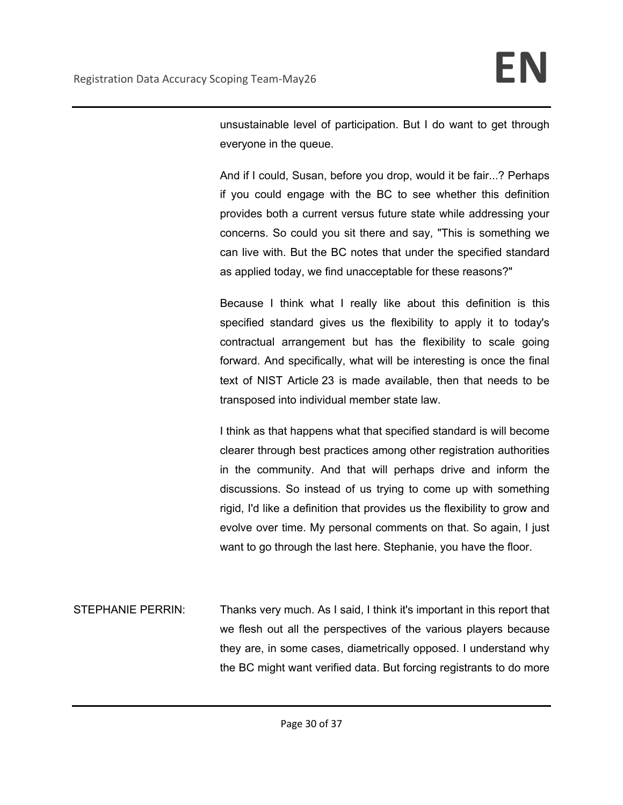unsustainable level of participation. But I do want to get through everyone in the queue.

And if I could, Susan, before you drop, would it be fair...? Perhaps if you could engage with the BC to see whether this definition provides both a current versus future state while addressing your concerns. So could you sit there and say, "This is something we can live with. But the BC notes that under the specified standard as applied today, we find unacceptable for these reasons?"

Because I think what I really like about this definition is this specified standard gives us the flexibility to apply it to today's contractual arrangement but has the flexibility to scale going forward. And specifically, what will be interesting is once the final text of NIST Article 23 is made available, then that needs to be transposed into individual member state law.

I think as that happens what that specified standard is will become clearer through best practices among other registration authorities in the community. And that will perhaps drive and inform the discussions. So instead of us trying to come up with something rigid, I'd like a definition that provides us the flexibility to grow and evolve over time. My personal comments on that. So again, I just want to go through the last here. Stephanie, you have the floor.

STEPHANIE PERRIN: Thanks very much. As I said, I think it's important in this report that we flesh out all the perspectives of the various players because they are, in some cases, diametrically opposed. I understand why the BC might want verified data. But forcing registrants to do more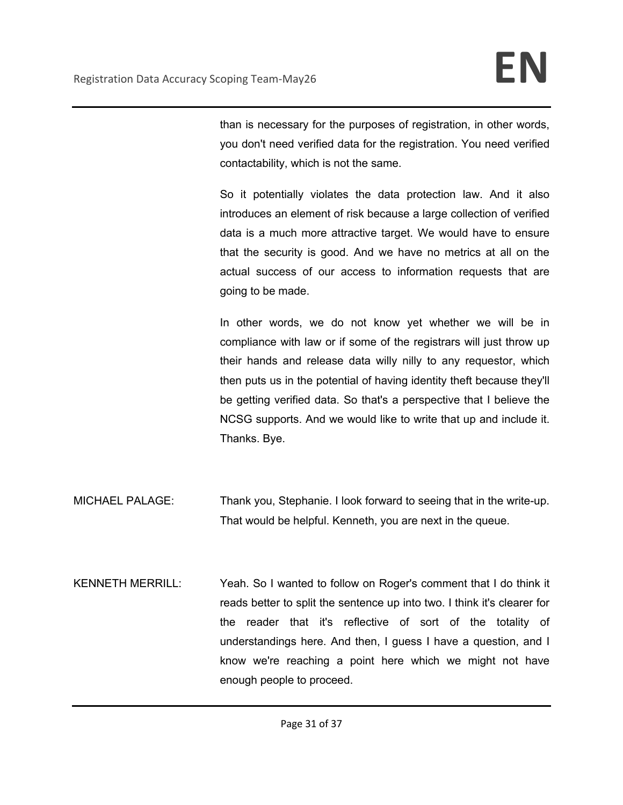than is necessary for the purposes of registration, in other words, you don't need verified data for the registration. You need verified contactability, which is not the same.

So it potentially violates the data protection law. And it also introduces an element of risk because a large collection of verified data is a much more attractive target. We would have to ensure that the security is good. And we have no metrics at all on the actual success of our access to information requests that are going to be made.

In other words, we do not know yet whether we will be in compliance with law or if some of the registrars will just throw up their hands and release data willy nilly to any requestor, which then puts us in the potential of having identity theft because they'll be getting verified data. So that's a perspective that I believe the NCSG supports. And we would like to write that up and include it. Thanks. Bye.

- MICHAEL PALAGE: Thank you, Stephanie. I look forward to seeing that in the write-up. That would be helpful. Kenneth, you are next in the queue.
- KENNETH MERRILL: Yeah. So I wanted to follow on Roger's comment that I do think it reads better to split the sentence up into two. I think it's clearer for the reader that it's reflective of sort of the totality of understandings here. And then, I guess I have a question, and I know we're reaching a point here which we might not have enough people to proceed.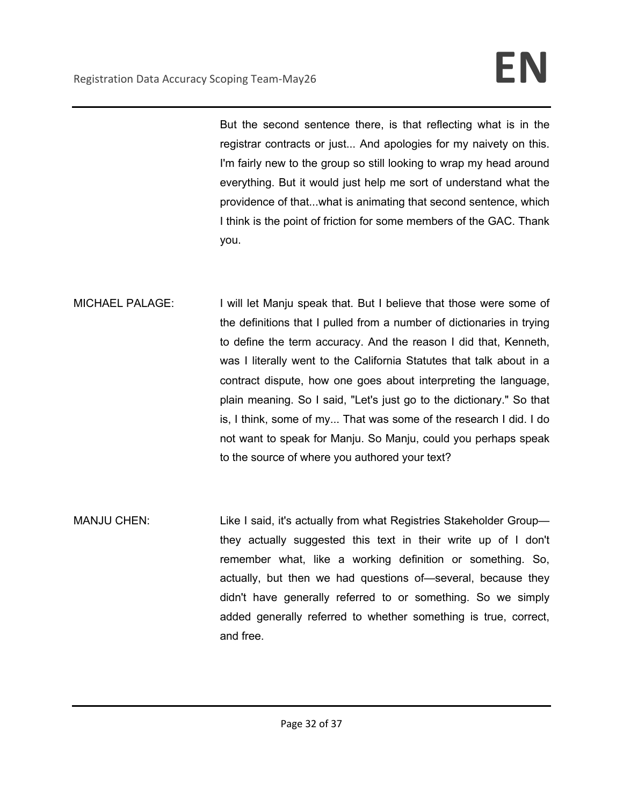But the second sentence there, is that reflecting what is in the registrar contracts or just... And apologies for my naivety on this. I'm fairly new to the group so still looking to wrap my head around everything. But it would just help me sort of understand what the providence of that...what is animating that second sentence, which I think is the point of friction for some members of the GAC. Thank you.

MICHAEL PALAGE: I will let Manju speak that. But I believe that those were some of the definitions that I pulled from a number of dictionaries in trying to define the term accuracy. And the reason I did that, Kenneth, was I literally went to the California Statutes that talk about in a contract dispute, how one goes about interpreting the language, plain meaning. So I said, "Let's just go to the dictionary." So that is, I think, some of my... That was some of the research I did. I do not want to speak for Manju. So Manju, could you perhaps speak to the source of where you authored your text?

MANJU CHEN: Like I said, it's actually from what Registries Stakeholder Groupthey actually suggested this text in their write up of I don't remember what, like a working definition or something. So, actually, but then we had questions of—several, because they didn't have generally referred to or something. So we simply added generally referred to whether something is true, correct, and free.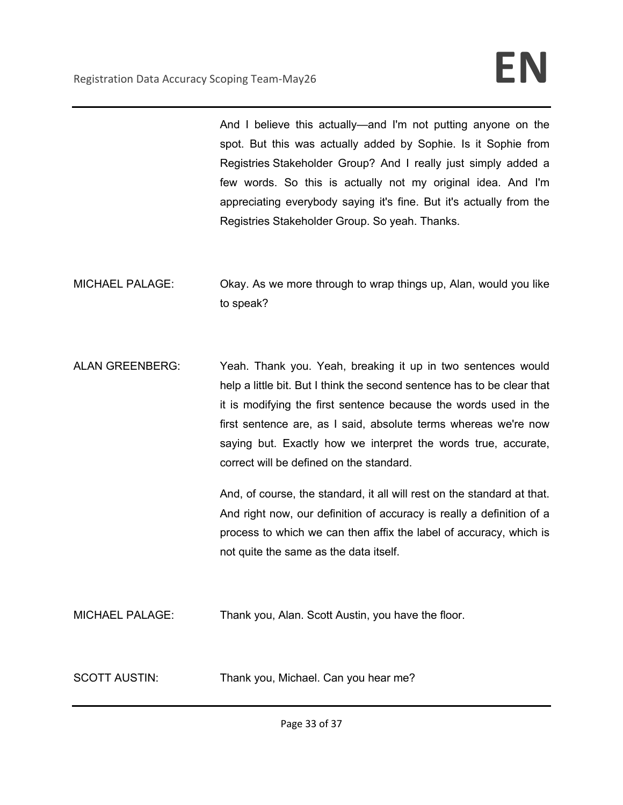And I believe this actually—and I'm not putting anyone on the spot. But this was actually added by Sophie. Is it Sophie from Registries Stakeholder Group? And I really just simply added a few words. So this is actually not my original idea. And I'm appreciating everybody saying it's fine. But it's actually from the Registries Stakeholder Group. So yeah. Thanks.

- MICHAEL PALAGE: Okay. As we more through to wrap things up, Alan, would you like to speak?
- ALAN GREENBERG: Yeah. Thank you. Yeah, breaking it up in two sentences would help a little bit. But I think the second sentence has to be clear that it is modifying the first sentence because the words used in the first sentence are, as I said, absolute terms whereas we're now saying but. Exactly how we interpret the words true, accurate, correct will be defined on the standard.

And, of course, the standard, it all will rest on the standard at that. And right now, our definition of accuracy is really a definition of a process to which we can then affix the label of accuracy, which is not quite the same as the data itself.

- MICHAEL PALAGE: Thank you, Alan. Scott Austin, you have the floor.
- SCOTT AUSTIN: Thank you, Michael. Can you hear me?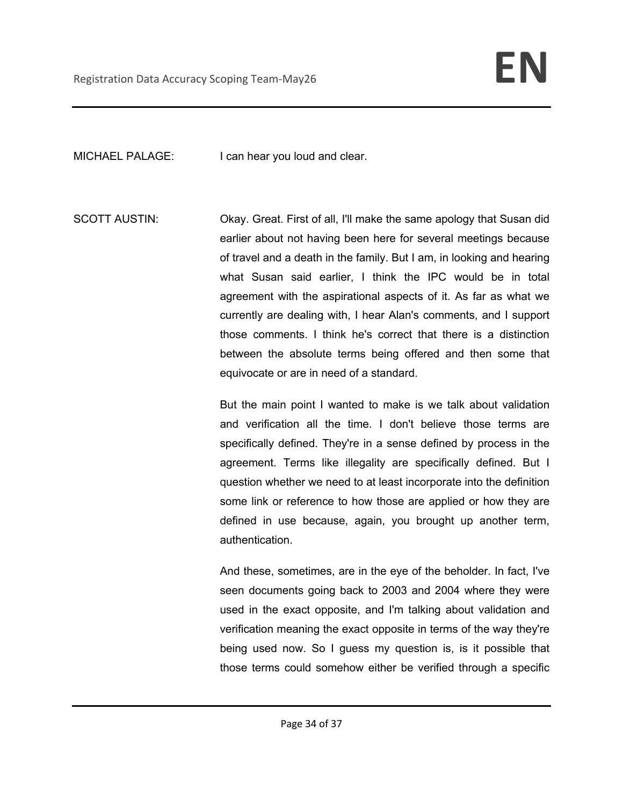MICHAEL PALAGE: I can hear you loud and clear.

SCOTT AUSTIN: Okay. Great. First of all, I'll make the same apology that Susan did earlier about not having been here for several meetings because of travel and a death in the family. But I am, in looking and hearing what Susan said earlier, I think the IPC would be in total agreement with the aspirational aspects of it. As far as what we currently are dealing with, I hear Alan's comments, and I support those comments. I think he's correct that there is a distinction between the absolute terms being offered and then some that equivocate or are in need of a standard.

> But the main point I wanted to make is we talk about validation and verification all the time. I don't believe those terms are specifically defined. They're in a sense defined by process in the agreement. Terms like illegality are specifically defined. But I question whether we need to at least incorporate into the definition some link or reference to how those are applied or how they are defined in use because, again, you brought up another term, authentication.

> And these, sometimes, are in the eye of the beholder. In fact, I've seen documents going back to 2003 and 2004 where they were used in the exact opposite, and I'm talking about validation and verification meaning the exact opposite in terms of the way they're being used now. So I guess my question is, is it possible that those terms could somehow either be verified through a specific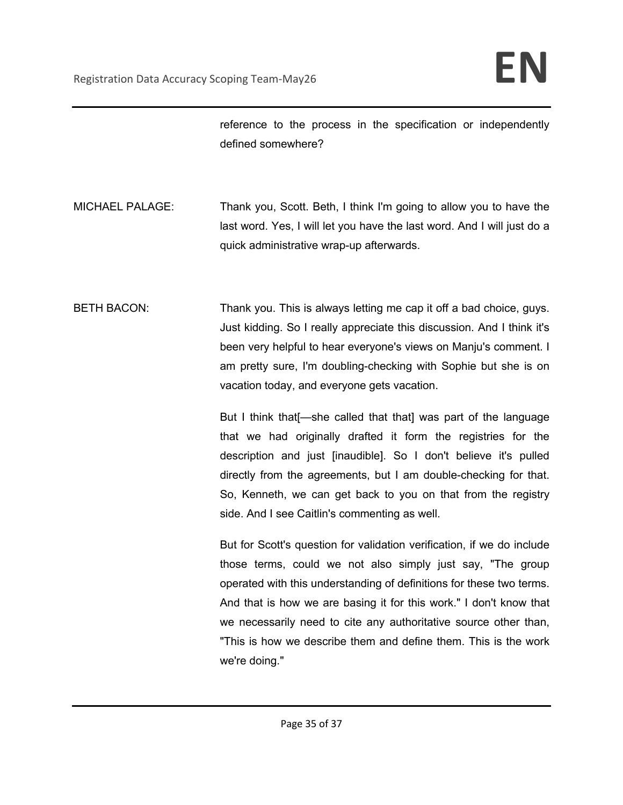reference to the process in the specification or independently defined somewhere?

- MICHAEL PALAGE: Thank you, Scott. Beth, I think I'm going to allow you to have the last word. Yes, I will let you have the last word. And I will just do a quick administrative wrap-up afterwards.
- BETH BACON: Thank you. This is always letting me cap it off a bad choice, guys. Just kidding. So I really appreciate this discussion. And I think it's been very helpful to hear everyone's views on Manju's comment. I am pretty sure, I'm doubling-checking with Sophie but she is on vacation today, and everyone gets vacation.

But I think that[—she called that that] was part of the language that we had originally drafted it form the registries for the description and just [inaudible]. So I don't believe it's pulled directly from the agreements, but I am double-checking for that. So, Kenneth, we can get back to you on that from the registry side. And I see Caitlin's commenting as well.

But for Scott's question for validation verification, if we do include those terms, could we not also simply just say, "The group operated with this understanding of definitions for these two terms. And that is how we are basing it for this work." I don't know that we necessarily need to cite any authoritative source other than, "This is how we describe them and define them. This is the work we're doing."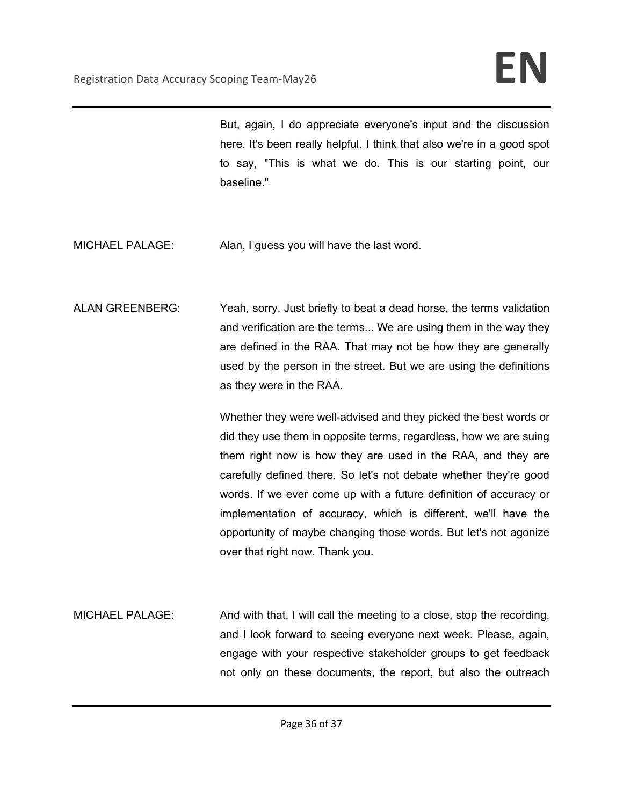But, again, I do appreciate everyone's input and the discussion here. It's been really helpful. I think that also we're in a good spot to say, "This is what we do. This is our starting point, our baseline."

MICHAEL PALAGE: Alan, I guess you will have the last word.

ALAN GREENBERG: Yeah, sorry. Just briefly to beat a dead horse, the terms validation and verification are the terms... We are using them in the way they are defined in the RAA. That may not be how they are generally used by the person in the street. But we are using the definitions as they were in the RAA.

> Whether they were well-advised and they picked the best words or did they use them in opposite terms, regardless, how we are suing them right now is how they are used in the RAA, and they are carefully defined there. So let's not debate whether they're good words. If we ever come up with a future definition of accuracy or implementation of accuracy, which is different, we'll have the opportunity of maybe changing those words. But let's not agonize over that right now. Thank you.

MICHAEL PALAGE: And with that, I will call the meeting to a close, stop the recording, and I look forward to seeing everyone next week. Please, again, engage with your respective stakeholder groups to get feedback not only on these documents, the report, but also the outreach